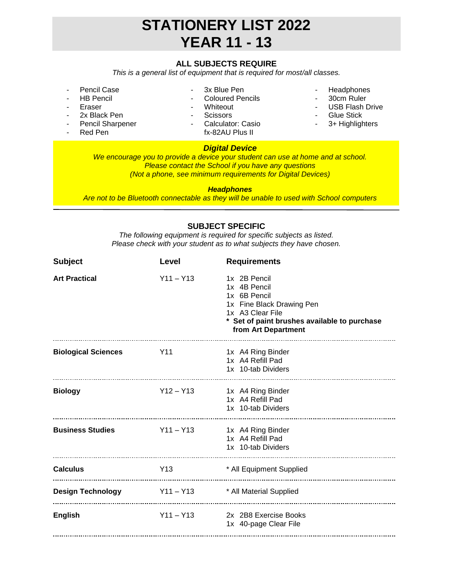## **STATIONERY LIST 2022 YEAR 11 - 13**

### **ALL SUBJECTS REQUIRE**

*This is a general list of equipment that is required for most/all classes.*

- Pencil Case
- HB Pencil
- **Eraser**
- 2x Black Pen
- Pencil Sharpener
- Red Pen
- 3x Blue Pen
- Coloured Pencils
- Whiteout
- Scissors
- Calculator: Casio fx-82AU Plus II

### *Digital Device*

- Headphones
- 30cm Ruler
- USB Flash Drive
- Glue Stick
- 3+ Highlighters

*We encourage you to provide a device your student can use at home and at school. Please contact the School if you have any questions (Not a phone, see minimum requirements for Digital Devices)*

#### *Headphones*

*Are not to be Bluetooth connectable as they will be unable to used with School computers*

#### **SUBJECT SPECIFIC**

*The following equipment is required for specific subjects as listed. Please check with your student as to what subjects they have chosen.*

| <b>Subject</b>             | Level       | <b>Requirements</b>                                                                                                                                                  |
|----------------------------|-------------|----------------------------------------------------------------------------------------------------------------------------------------------------------------------|
| <b>Art Practical</b>       | $Y11 - Y13$ | 1x 2B Pencil<br>1x 4B Pencil<br>1x 6B Pencil<br>1x Fine Black Drawing Pen<br>1x A3 Clear File<br>* Set of paint brushes available to purchase<br>from Art Department |
| <b>Biological Sciences</b> | Y11         | 1x A4 Ring Binder<br>1x A4 Refill Pad<br>1x 10-tab Dividers                                                                                                          |
| <b>Biology</b>             | $Y12 - Y13$ | 1x A4 Ring Binder<br>1x A4 Refill Pad<br>1x 10-tab Dividers                                                                                                          |
| <b>Business Studies</b>    | $Y11 - Y13$ | 1x A4 Ring Binder<br>1x A4 Refill Pad<br>1x 10-tab Dividers                                                                                                          |
| <b>Calculus</b>            | Y13         | * All Equipment Supplied                                                                                                                                             |
| <b>Design Technology</b>   |             | Y11 - Y13 * All Material Supplied                                                                                                                                    |
| <b>English</b>             | $Y11 - Y13$ | 2x 2B8 Exercise Books<br>1x 40-page Clear File                                                                                                                       |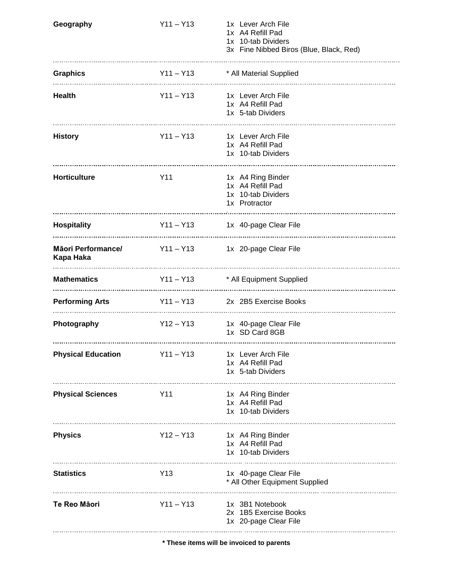| Geography                                                  | $Y11 - Y13$ | 1x Lever Arch File<br>1x A4 Refill Pad<br>1x 10-tab Dividers<br>3x Fine Nibbed Biros (Blue, Black, Red) |
|------------------------------------------------------------|-------------|---------------------------------------------------------------------------------------------------------|
| <b>Graphics</b><br><u></u>                                 | $Y11 - Y13$ | * All Material Supplied                                                                                 |
| <b>Health</b>                                              | $Y11 - Y13$ | 1x Lever Arch File<br>1x A4 Refill Pad<br>1x 5-tab Dividers                                             |
| <b>History</b>                                             | $Y11 - Y13$ | 1x Lever Arch File<br>1x A4 Refill Pad<br>1x 10-tab Dividers                                            |
| <b>Horticulture</b>                                        | Y11         | 1x A4 Ring Binder<br>1x A4 Refill Pad<br>1x 10-tab Dividers<br>1x Protractor                            |
| <b>Hospitality</b>                                         | $Y11 - Y13$ | 1x 40-page Clear File                                                                                   |
| Māori Performance/ Y11 - Y13<br>Kapa Haka                  |             | 1x 20-page Clear File                                                                                   |
| <b>Mathematics</b>                                         | $Y11 - Y13$ | * All Equipment Supplied                                                                                |
| <b>Performing Arts</b><br>-------------------------------- | $Y11 - Y13$ | 2x 2B5 Exercise Books                                                                                   |
| Photography                                                | $Y12 - Y13$ | 1x 40-page Clear File<br>1x SD Card 8GB                                                                 |
| <b>Physical Education</b>                                  | $Y11 - Y13$ | 1x Lever Arch File<br>1x A4 Refill Pad<br>1x 5-tab Dividers                                             |
| <b>Physical Sciences</b>                                   | Y11         | 1x A4 Ring Binder<br>1x A4 Refill Pad<br>1x 10-tab Dividers                                             |
| <b>Physics</b>                                             | $Y12 - Y13$ | 1x A4 Ring Binder<br>1x A4 Refill Pad<br>1x 10-tab Dividers                                             |
| <b>Statistics</b>                                          | Y13         | 1x 40-page Clear File<br>* All Other Equipment Supplied                                                 |
| Te Reo Māori                                               | $Y11 - Y13$ | 1x 3B1 Notebook<br>2x 1B5 Exercise Books<br>1x 20-page Clear File                                       |

**\* These items will be invoiced to parents**